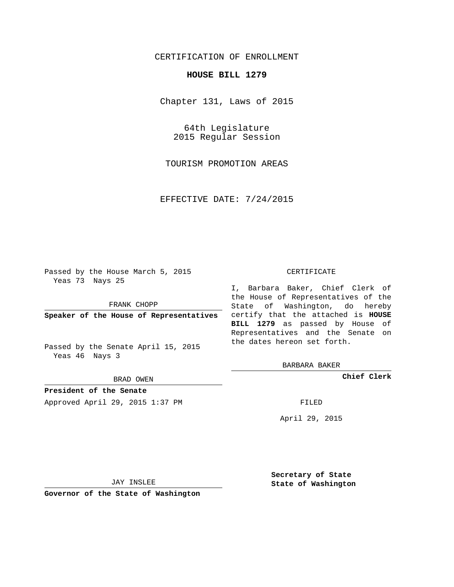## CERTIFICATION OF ENROLLMENT

## **HOUSE BILL 1279**

Chapter 131, Laws of 2015

64th Legislature 2015 Regular Session

TOURISM PROMOTION AREAS

EFFECTIVE DATE: 7/24/2015

Passed by the House March 5, 2015 Yeas 73 Nays 25

FRANK CHOPP

Passed by the Senate April 15, 2015 Yeas 46 Nays 3

BRAD OWEN

**President of the Senate**

Approved April 29, 2015 1:37 PM FILED

## CERTIFICATE

**Speaker of the House of Representatives** certify that the attached is **HOUSE** I, Barbara Baker, Chief Clerk of the House of Representatives of the State of Washington, do hereby **BILL 1279** as passed by House of Representatives and the Senate on the dates hereon set forth.

BARBARA BAKER

**Chief Clerk**

April 29, 2015

JAY INSLEE

**Governor of the State of Washington**

**Secretary of State State of Washington**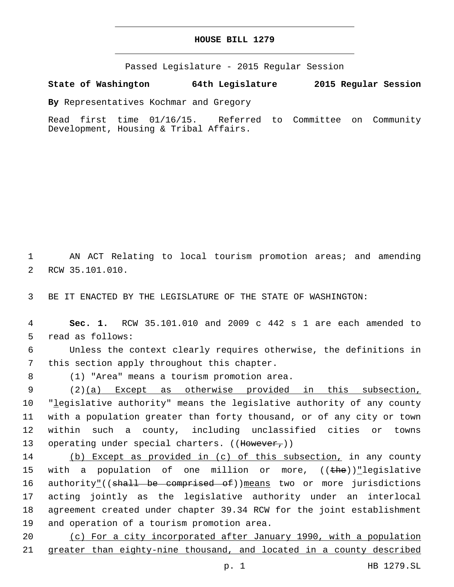## **HOUSE BILL 1279**

Passed Legislature - 2015 Regular Session

**State of Washington 64th Legislature 2015 Regular Session**

**By** Representatives Kochmar and Gregory

Read first time 01/16/15. Referred to Committee on Community Development, Housing & Tribal Affairs.

1 AN ACT Relating to local tourism promotion areas; and amending 2 RCW 35.101.010.

3 BE IT ENACTED BY THE LEGISLATURE OF THE STATE OF WASHINGTON:

4 **Sec. 1.** RCW 35.101.010 and 2009 c 442 s 1 are each amended to 5 read as follows:

6 Unless the context clearly requires otherwise, the definitions in 7 this section apply throughout this chapter.

(1) "Area" means a tourism promotion area.8

 (2)(a) Except as otherwise provided in this subsection, "legislative authority" means the legislative authority of any county with a population greater than forty thousand, or of any city or town within such a county, including unclassified cities or towns 13 operating under special charters. ((However,))

14 (b) Except as provided in (c) of this subsection, in any county 15 with a population of one million or more,  $((the)^{\text{th}})$  legislative 16 authority"((shall be comprised of))means two or more jurisdictions 17 acting jointly as the legislative authority under an interlocal 18 agreement created under chapter 39.34 RCW for the joint establishment 19 and operation of a tourism promotion area.

20 (c) For a city incorporated after January 1990, with a population 21 greater than eighty-nine thousand, and located in a county described